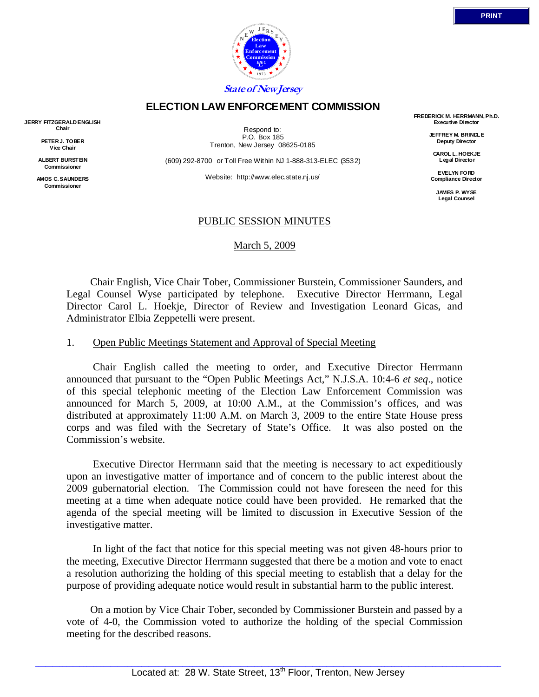

## **ELECTION LAW ENFORCEMENT COMMISSION**

**JERRY FITZGERALD ENGLISH Chair** 

> **PETER J. TOBER Vice Chair**

**ALBERT BURSTEIN Commissioner** 

**AMOS C. SAUNDERS Commissioner** 

Respond to: P.O. Box 185 Trenton, New Jersey 08625-0185

(609) 292-8700 or Toll Free Within NJ 1-888-313-ELEC (3532)

Website: http://www.elec.state.nj.us/

**FREDERICK M. HERRMANN, Ph.D. Executive Director** 

> **JEFFREY M. BRINDLE Deputy Director**

**CAROL L. HOEKJE Legal Director** 

**EVELYN FORD Compliance Director** 

> **JAMES P. WYSE Legal Counsel**

## PUBLIC SESSION MINUTES

March 5, 2009

 Chair English, Vice Chair Tober, Commissioner Burstein, Commissioner Saunders, and Legal Counsel Wyse participated by telephone. Executive Director Herrmann, Legal Director Carol L. Hoekje, Director of Review and Investigation Leonard Gicas, and Administrator Elbia Zeppetelli were present.

#### 1. Open Public Meetings Statement and Approval of Special Meeting

 Chair English called the meeting to order, and Executive Director Herrmann announced that pursuant to the "Open Public Meetings Act," N.J.S.A. 10:4-6 *et seq*., notice of this special telephonic meeting of the Election Law Enforcement Commission was announced for March 5, 2009, at 10:00 A.M., at the Commission's offices, and was distributed at approximately 11:00 A.M. on March 3, 2009 to the entire State House press corps and was filed with the Secretary of State's Office. It was also posted on the Commission's website.

 Executive Director Herrmann said that the meeting is necessary to act expeditiously upon an investigative matter of importance and of concern to the public interest about the 2009 gubernatorial election. The Commission could not have foreseen the need for this meeting at a time when adequate notice could have been provided. He remarked that the agenda of the special meeting will be limited to discussion in Executive Session of the investigative matter.

 In light of the fact that notice for this special meeting was not given 48-hours prior to the meeting, Executive Director Herrmann suggested that there be a motion and vote to enact a resolution authorizing the holding of this special meeting to establish that a delay for the purpose of providing adequate notice would result in substantial harm to the public interest.

 On a motion by Vice Chair Tober, seconded by Commissioner Burstein and passed by a vote of 4-0, the Commission voted to authorize the holding of the special Commission meeting for the described reasons.